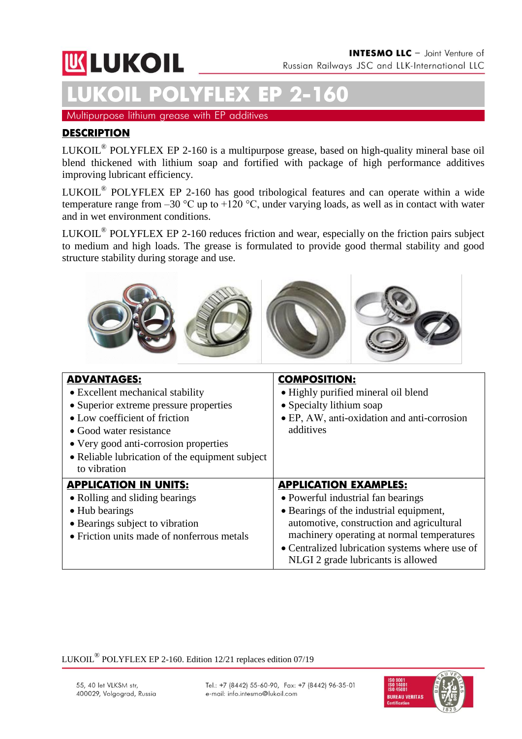# **UK LUKOIL**

# **LUKOIL POLYFLEX ЕР 2-160**

Multipurpose lithium grease with EP additives

### **DESCRIPTION**

LUKOIL<sup>®</sup> POLYFLEX EP 2-160 is a multipurpose grease, based on high-quality mineral base oil blend thickened with lithium soap and fortified with package of high performance additives improving lubricant efficiency.

LUKOIL<sup>®</sup> POLYFLEX EP 2-160 has good tribological features and can operate within a wide temperature range from  $-30$  °C up to  $+120$  °C, under varying loads, as well as in contact with water and in wet environment conditions.

LUKOIL<sup>®</sup> POLYFLEX EP 2-160 reduces friction and wear, especially on the friction pairs subject to medium and high loads. The grease is formulated to provide good thermal stability and good structure stability during storage and use.



| <b>ADVANTAGES:</b><br>• Excellent mechanical stability<br>• Superior extreme pressure properties<br>• Low coefficient of friction<br>• Good water resistance<br>• Very good anti-corrosion properties<br>• Reliable lubrication of the equipment subject<br>to vibration | <b>COMPOSITION:</b><br>• Highly purified mineral oil blend<br>• Specialty lithium soap<br>• EP, AW, anti-oxidation and anti-corrosion<br>additives                                                                                                                                               |
|--------------------------------------------------------------------------------------------------------------------------------------------------------------------------------------------------------------------------------------------------------------------------|--------------------------------------------------------------------------------------------------------------------------------------------------------------------------------------------------------------------------------------------------------------------------------------------------|
| <b>APPLICATION IN UNITS:</b><br>• Rolling and sliding bearings<br>• Hub bearings<br>• Bearings subject to vibration<br>• Friction units made of nonferrous metals                                                                                                        | <b>APPLICATION EXAMPLES:</b><br>• Powerful industrial fan bearings<br>• Bearings of the industrial equipment,<br>automotive, construction and agricultural<br>machinery operating at normal temperatures<br>• Centralized lubrication systems where use of<br>NLGI 2 grade lubricants is allowed |

LUKOIL $^{\circledR}$  POLYFLEX EP 2-160. Edition 12/21 replaces edition 07/19